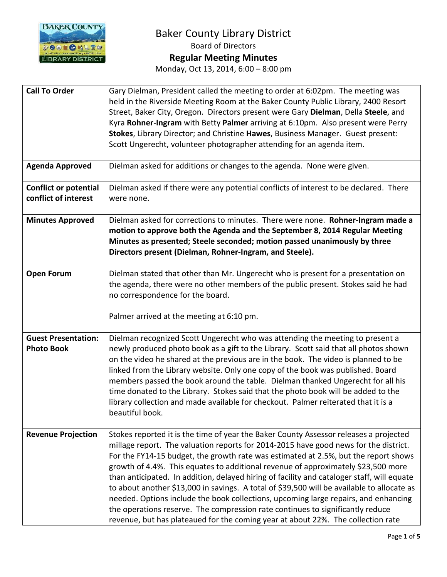

| <b>Call To Order</b>                                 | Gary Dielman, President called the meeting to order at 6:02pm. The meeting was<br>held in the Riverside Meeting Room at the Baker County Public Library, 2400 Resort<br>Street, Baker City, Oregon. Directors present were Gary Dielman, Della Steele, and<br>Kyra Rohner-Ingram with Betty Palmer arriving at 6:10pm. Also present were Perry<br>Stokes, Library Director; and Christine Hawes, Business Manager. Guest present:<br>Scott Ungerecht, volunteer photographer attending for an agenda item.                                                                                                                                                                                                                                                                                                         |
|------------------------------------------------------|--------------------------------------------------------------------------------------------------------------------------------------------------------------------------------------------------------------------------------------------------------------------------------------------------------------------------------------------------------------------------------------------------------------------------------------------------------------------------------------------------------------------------------------------------------------------------------------------------------------------------------------------------------------------------------------------------------------------------------------------------------------------------------------------------------------------|
| <b>Agenda Approved</b>                               | Dielman asked for additions or changes to the agenda. None were given.                                                                                                                                                                                                                                                                                                                                                                                                                                                                                                                                                                                                                                                                                                                                             |
| <b>Conflict or potential</b><br>conflict of interest | Dielman asked if there were any potential conflicts of interest to be declared. There<br>were none.                                                                                                                                                                                                                                                                                                                                                                                                                                                                                                                                                                                                                                                                                                                |
| <b>Minutes Approved</b>                              | Dielman asked for corrections to minutes. There were none. Rohner-Ingram made a<br>motion to approve both the Agenda and the September 8, 2014 Regular Meeting<br>Minutes as presented; Steele seconded; motion passed unanimously by three<br>Directors present (Dielman, Rohner-Ingram, and Steele).                                                                                                                                                                                                                                                                                                                                                                                                                                                                                                             |
| <b>Open Forum</b>                                    | Dielman stated that other than Mr. Ungerecht who is present for a presentation on<br>the agenda, there were no other members of the public present. Stokes said he had<br>no correspondence for the board.<br>Palmer arrived at the meeting at 6:10 pm.                                                                                                                                                                                                                                                                                                                                                                                                                                                                                                                                                            |
| <b>Guest Presentation:</b><br><b>Photo Book</b>      | Dielman recognized Scott Ungerecht who was attending the meeting to present a<br>newly produced photo book as a gift to the Library. Scott said that all photos shown<br>on the video he shared at the previous are in the book. The video is planned to be<br>linked from the Library website. Only one copy of the book was published. Board<br>members passed the book around the table. Dielman thanked Ungerecht for all his<br>time donated to the Library. Stokes said that the photo book will be added to the<br>library collection and made available for checkout. Palmer reiterated that it is a<br>beautiful book.                                                                                                                                                                                    |
| <b>Revenue Projection</b>                            | Stokes reported it is the time of year the Baker County Assessor releases a projected<br>millage report. The valuation reports for 2014-2015 have good news for the district.<br>For the FY14-15 budget, the growth rate was estimated at 2.5%, but the report shows<br>growth of 4.4%. This equates to additional revenue of approximately \$23,500 more<br>than anticipated. In addition, delayed hiring of facility and cataloger staff, will equate<br>to about another \$13,000 in savings. A total of \$39,500 will be available to allocate as<br>needed. Options include the book collections, upcoming large repairs, and enhancing<br>the operations reserve. The compression rate continues to significantly reduce<br>revenue, but has plateaued for the coming year at about 22%. The collection rate |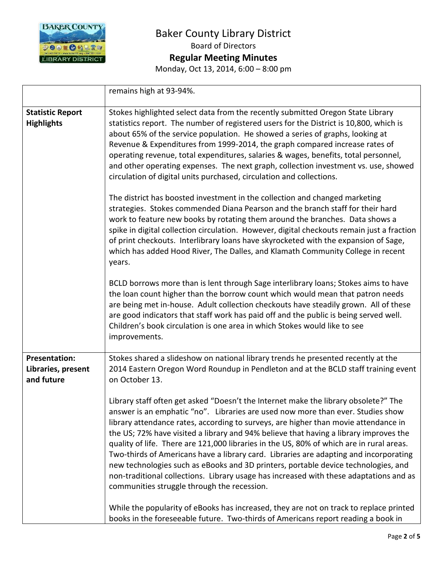

remains high at 93-94%. **Statistic Report Highlights** Stokes highlighted select data from the recently submitted Oregon State Library statistics report. The number of registered users for the District is 10,800, which is about 65% of the service population. He showed a series of graphs, looking at Revenue & Expenditures from 1999-2014, the graph compared increase rates of operating revenue, total expenditures, salaries & wages, benefits, total personnel, and other operating expenses. The next graph, collection investment vs. use, showed circulation of digital units purchased, circulation and collections. The district has boosted investment in the collection and changed marketing strategies. Stokes commended Diana Pearson and the branch staff for their hard work to feature new books by rotating them around the branches. Data shows a spike in digital collection circulation. However, digital checkouts remain just a fraction of print checkouts. Interlibrary loans have skyrocketed with the expansion of Sage, which has added Hood River, The Dalles, and Klamath Community College in recent years. BCLD borrows more than is lent through Sage interlibrary loans; Stokes aims to have the loan count higher than the borrow count which would mean that patron needs are being met in-house. Adult collection checkouts have steadily grown. All of these are good indicators that staff work has paid off and the public is being served well. Children's book circulation is one area in which Stokes would like to see improvements. **Presentation: Libraries, present and future** Stokes shared a slideshow on national library trends he presented recently at the 2014 Eastern Oregon Word Roundup in Pendleton and at the BCLD staff training event on October 13. Library staff often get asked "Doesn't the Internet make the library obsolete?" The answer is an emphatic "no". Libraries are used now more than ever. Studies show library attendance rates, according to surveys, are higher than movie attendance in the US; 72% have visited a library and 94% believe that having a library improves the quality of life. There are 121,000 libraries in the US, 80% of which are in rural areas. Two-thirds of Americans have a library card. Libraries are adapting and incorporating new technologies such as eBooks and 3D printers, portable device technologies, and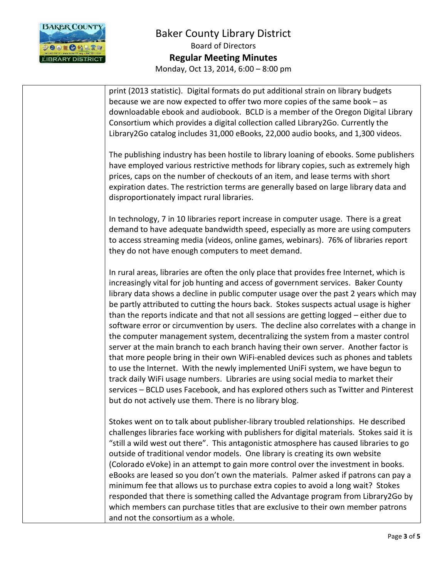

| print (2013 statistic). Digital formats do put additional strain on library budgets<br>because we are now expected to offer two more copies of the same book – as<br>downloadable ebook and audiobook. BCLD is a member of the Oregon Digital Library<br>Consortium which provides a digital collection called Library2Go. Currently the<br>Library2Go catalog includes 31,000 eBooks, 22,000 audio books, and 1,300 videos.                                                                                                                                                                                                                                                                                                                                                                                                                                                                                                                                                                                                                                                                                                                    |
|-------------------------------------------------------------------------------------------------------------------------------------------------------------------------------------------------------------------------------------------------------------------------------------------------------------------------------------------------------------------------------------------------------------------------------------------------------------------------------------------------------------------------------------------------------------------------------------------------------------------------------------------------------------------------------------------------------------------------------------------------------------------------------------------------------------------------------------------------------------------------------------------------------------------------------------------------------------------------------------------------------------------------------------------------------------------------------------------------------------------------------------------------|
| The publishing industry has been hostile to library loaning of ebooks. Some publishers<br>have employed various restrictive methods for library copies, such as extremely high<br>prices, caps on the number of checkouts of an item, and lease terms with short<br>expiration dates. The restriction terms are generally based on large library data and<br>disproportionately impact rural libraries.                                                                                                                                                                                                                                                                                                                                                                                                                                                                                                                                                                                                                                                                                                                                         |
| In technology, 7 in 10 libraries report increase in computer usage. There is a great<br>demand to have adequate bandwidth speed, especially as more are using computers<br>to access streaming media (videos, online games, webinars). 76% of libraries report<br>they do not have enough computers to meet demand.                                                                                                                                                                                                                                                                                                                                                                                                                                                                                                                                                                                                                                                                                                                                                                                                                             |
| In rural areas, libraries are often the only place that provides free Internet, which is<br>increasingly vital for job hunting and access of government services. Baker County<br>library data shows a decline in public computer usage over the past 2 years which may<br>be partly attributed to cutting the hours back. Stokes suspects actual usage is higher<br>than the reports indicate and that not all sessions are getting logged - either due to<br>software error or circumvention by users. The decline also correlates with a change in<br>the computer management system, decentralizing the system from a master control<br>server at the main branch to each branch having their own server. Another factor is<br>that more people bring in their own WiFi-enabled devices such as phones and tablets<br>to use the Internet. With the newly implemented UniFi system, we have begun to<br>track daily WiFi usage numbers. Libraries are using social media to market their<br>services - BCLD uses Facebook, and has explored others such as Twitter and Pinterest<br>but do not actively use them. There is no library blog. |
| Stokes went on to talk about publisher-library troubled relationships. He described<br>challenges libraries face working with publishers for digital materials. Stokes said it is<br>"still a wild west out there". This antagonistic atmosphere has caused libraries to go<br>outside of traditional vendor models. One library is creating its own website<br>(Colorado eVoke) in an attempt to gain more control over the investment in books.<br>eBooks are leased so you don't own the materials. Palmer asked if patrons can pay a<br>minimum fee that allows us to purchase extra copies to avoid a long wait? Stokes<br>responded that there is something called the Advantage program from Library2Go by<br>which members can purchase titles that are exclusive to their own member patrons<br>and not the consortium as a whole.                                                                                                                                                                                                                                                                                                     |
|                                                                                                                                                                                                                                                                                                                                                                                                                                                                                                                                                                                                                                                                                                                                                                                                                                                                                                                                                                                                                                                                                                                                                 |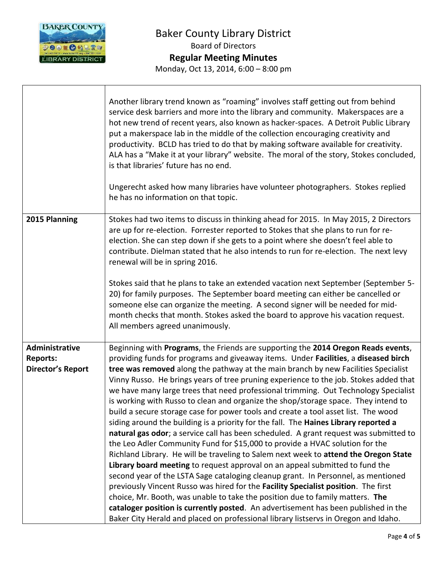

 $\mathsf{I}$ 

 $\sqrt{ }$ 

|                                                               | Another library trend known as "roaming" involves staff getting out from behind<br>service desk barriers and more into the library and community. Makerspaces are a<br>hot new trend of recent years, also known as hacker-spaces. A Detroit Public Library<br>put a makerspace lab in the middle of the collection encouraging creativity and<br>productivity. BCLD has tried to do that by making software available for creativity.<br>ALA has a "Make it at your library" website. The moral of the story, Stokes concluded,<br>is that libraries' future has no end.<br>Ungerecht asked how many libraries have volunteer photographers. Stokes replied<br>he has no information on that topic.                                                                                                                                                                                                                                                                                                                                                                                                                                                                                                                                                                                                                                                                                                                                                                                                         |
|---------------------------------------------------------------|--------------------------------------------------------------------------------------------------------------------------------------------------------------------------------------------------------------------------------------------------------------------------------------------------------------------------------------------------------------------------------------------------------------------------------------------------------------------------------------------------------------------------------------------------------------------------------------------------------------------------------------------------------------------------------------------------------------------------------------------------------------------------------------------------------------------------------------------------------------------------------------------------------------------------------------------------------------------------------------------------------------------------------------------------------------------------------------------------------------------------------------------------------------------------------------------------------------------------------------------------------------------------------------------------------------------------------------------------------------------------------------------------------------------------------------------------------------------------------------------------------------|
| 2015 Planning                                                 | Stokes had two items to discuss in thinking ahead for 2015. In May 2015, 2 Directors<br>are up for re-election. Forrester reported to Stokes that she plans to run for re-<br>election. She can step down if she gets to a point where she doesn't feel able to<br>contribute. Dielman stated that he also intends to run for re-election. The next levy<br>renewal will be in spring 2016.                                                                                                                                                                                                                                                                                                                                                                                                                                                                                                                                                                                                                                                                                                                                                                                                                                                                                                                                                                                                                                                                                                                  |
|                                                               | Stokes said that he plans to take an extended vacation next September (September 5-<br>20) for family purposes. The September board meeting can either be cancelled or<br>someone else can organize the meeting. A second signer will be needed for mid-<br>month checks that month. Stokes asked the board to approve his vacation request.<br>All members agreed unanimously.                                                                                                                                                                                                                                                                                                                                                                                                                                                                                                                                                                                                                                                                                                                                                                                                                                                                                                                                                                                                                                                                                                                              |
| Administrative<br><b>Reports:</b><br><b>Director's Report</b> | Beginning with Programs, the Friends are supporting the 2014 Oregon Reads events,<br>providing funds for programs and giveaway items. Under Facilities, a diseased birch<br>tree was removed along the pathway at the main branch by new Facilities Specialist<br>Vinny Russo. He brings years of tree pruning experience to the job. Stokes added that<br>we have many large trees that need professional trimming. Out Technology Specialist<br>is working with Russo to clean and organize the shop/storage space. They intend to<br>build a secure storage case for power tools and create a tool asset list. The wood<br>siding around the building is a priority for the fall. The Haines Library reported a<br>natural gas odor; a service call has been scheduled. A grant request was submitted to<br>the Leo Adler Community Fund for \$15,000 to provide a HVAC solution for the<br>Richland Library. He will be traveling to Salem next week to attend the Oregon State<br>Library board meeting to request approval on an appeal submitted to fund the<br>second year of the LSTA Sage cataloging cleanup grant. In Personnel, as mentioned<br>previously Vincent Russo was hired for the Facility Specialist position. The first<br>choice, Mr. Booth, was unable to take the position due to family matters. The<br>cataloger position is currently posted. An advertisement has been published in the<br>Baker City Herald and placed on professional library listservs in Oregon and Idaho. |